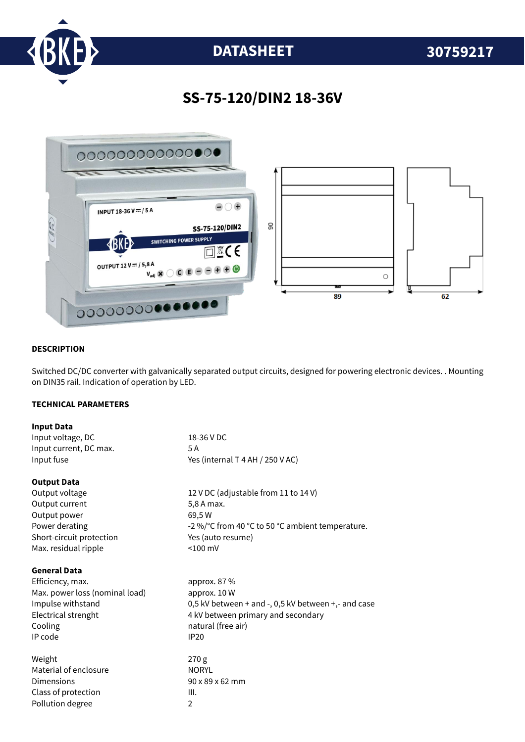

# **DATASHEET 30759217**

## **SS-75-120/DIN2 18-36V**



#### **DESCRIPTION**

Switched DC/DC converter with galvanically separated output circuits, designed for powering electronic devices. . Mounting on DIN35 rail. Indication of operation by LED.

### **TECHNICAL PARAMETERS**

| <b>Input Data</b>              |                                                                |
|--------------------------------|----------------------------------------------------------------|
| Input voltage, DC              | 18-36 V DC                                                     |
| Input current, DC max.         | 5 A                                                            |
| Input fuse                     | Yes (internal T 4 AH / 250 V AC)                               |
| <b>Output Data</b>             |                                                                |
| Output voltage                 | 12 V DC (adjustable from 11 to 14 V)                           |
| Output current                 | 5,8 A max.                                                     |
| Output power                   | 69,5W                                                          |
| Power derating                 | -2 %/°C from 40 °C to 50 °C ambient temperature.               |
| Short-circuit protection       | Yes (auto resume)                                              |
| Max. residual ripple           | $< 100$ mV                                                     |
| <b>General Data</b>            |                                                                |
| Efficiency, max.               | approx. 87 %                                                   |
| Max. power loss (nominal load) | approx. 10 W                                                   |
| Impulse withstand              | 0,5 kV between $+$ and $-$ , 0,5 kV between $+$ , $-$ and case |
| Electrical strenght            | 4 kV between primary and secondary                             |
| Cooling                        | natural (free air)                                             |
| IP code                        | <b>IP20</b>                                                    |
| Weight                         | 270 g                                                          |
| Material of enclosure          | <b>NORYL</b>                                                   |
| Dimensions                     | $90 \times 89 \times 62$ mm                                    |
| Class of protection            | III.                                                           |
| Pollution degree               | $\overline{2}$                                                 |
|                                |                                                                |